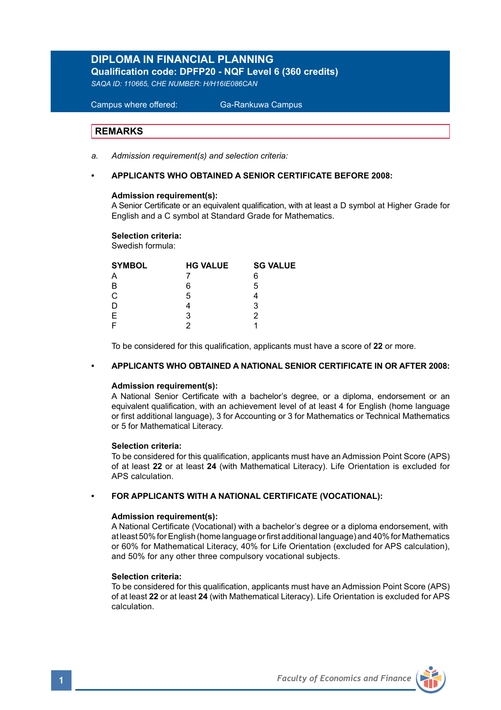## **DIPLOMA IN FINANCIAL PLANNING**

**Qualification code: DPFP20 - NQF Level 6 (360 credits)** 

*SAQA ID: 110665, CHE NUMBER: H/H16IE086CAN* 

 Campus where offered: Ga-Rankuwa Campus

## **REMARKS**

*a. Admission requirement(s) and selection criteria:* 

## **• APPLICANTS WHO OBTAINED A SENIOR CERTIFICATE BEFORE 2008:**

### **Admission requirement(s):**

A Senior Certificate or an equivalent qualification, with at least a D symbol at Higher Grade for English and a C symbol at Standard Grade for Mathematics.

### **Selection criteria:**

Swedish formula:

| <b>HG VALUE</b> | <b>SG VALUE</b> |
|-----------------|-----------------|
|                 | 6               |
| 6               | 5               |
| 5               |                 |
|                 | 3               |
| з               |                 |
|                 |                 |
|                 |                 |

To be considered for this qualification, applicants must have a score of **22** or more.

## **• APPLICANTS WHO OBTAINED A NATIONAL SENIOR CERTIFICATE IN OR AFTER 2008:**

### **Admission requirement(s):**

A National Senior Certificate with a bachelor's degree, or a diploma, endorsement or an equivalent qualification, with an achievement level of at least 4 for English (home language or first additional language), 3 for Accounting or 3 for Mathematics or Technical Mathematics or 5 for Mathematical Literacy.

### **Selection criteria:**

To be considered for this qualification, applicants must have an Admission Point Score (APS) of at least **22** or at least **24** (with Mathematical Literacy). Life Orientation is excluded for APS calculation.

### **• FOR APPLICANTS WITH A NATIONAL CERTIFICATE (VOCATIONAL):**

## **Admission requirement(s):**

A National Certificate (Vocational) with a bachelor's degree or a diploma endorsement, with at least 50% for English (home language or first additional language) and 40% for Mathematics or 60% for Mathematical Literacy, 40% for Life Orientation (excluded for APS calculation), and 50% for any other three compulsory vocational subjects.

### **Selection criteria:**

To be considered for this qualification, applicants must have an Admission Point Score (APS) of at least **22** or at least **24** (with Mathematical Literacy). Life Orientation is excluded for APS calculation.

**1** *Faculty of Economics and Finance*

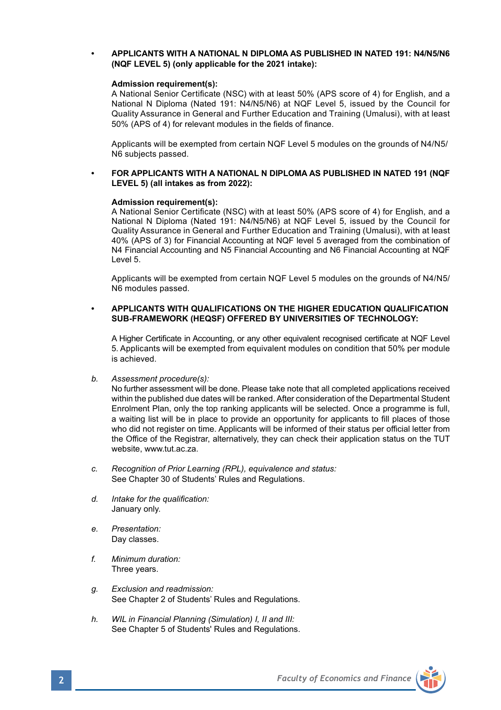## **• APPLICANTS WITH A NATIONAL N DIPLOMA AS PUBLISHED IN NATED 191: N4/N5/N6 (NQF LEVEL 5) (only applicable for the 2021 intake):**

### **Admission requirement(s):**

A National Senior Certificate (NSC) with at least 50% (APS score of 4) for English, and a National N Diploma (Nated 191: N4/N5/N6) at NQF Level 5, issued by the Council for Quality Assurance in General and Further Education and Training (Umalusi), with at least 50% (APS of 4) for relevant modules in the fields of finance.

Applicants will be exempted from certain NQF Level 5 modules on the grounds of N4/N5/ N6 subjects passed.

## **• FOR APPLICANTS WITH A NATIONAL N DIPLOMA AS PUBLISHED IN NATED 191 (NQF LEVEL 5) (all intakes as from 2022):**

### **Admission requirement(s):**

A National Senior Certificate (NSC) with at least 50% (APS score of 4) for English, and a National N Diploma (Nated 191: N4/N5/N6) at NQF Level 5, issued by the Council for Quality Assurance in General and Further Education and Training (Umalusi), with at least 40% (APS of 3) for Financial Accounting at NQF level 5 averaged from the combination of N4 Financial Accounting and N5 Financial Accounting and N6 Financial Accounting at NQF Level 5.

Applicants will be exempted from certain NQF Level 5 modules on the grounds of N4/N5/ N6 modules passed.

## **• APPLICANTS WITH QUALIFICATIONS ON THE HIGHER EDUCATION QUALIFICATION SUB-FRAMEWORK (HEQSF) OFFERED BY UNIVERSITIES OF TECHNOLOGY:**

A Higher Certificate in Accounting, or any other equivalent recognised certificate at NQF Level 5. Applicants will be exempted from equivalent modules on condition that 50% per module is achieved.

*b. Assessment procedure(s):*

No further assessment will be done. Please take note that all completed applications received within the published due dates will be ranked. After consideration of the Departmental Student Enrolment Plan, only the top ranking applicants will be selected. Once a programme is full, a waiting list will be in place to provide an opportunity for applicants to fill places of those who did not register on time. Applicants will be informed of their status per official letter from the Office of the Registrar, alternatively, they can check their application status on the TUT website, www.tut.ac.za.

- *c. Recognition of Prior Learning (RPL), equivalence and status:* See Chapter 30 of Students' Rules and Regulations.
- *d. Intake for the qualification:* January only.
- *e. Presentation:* Day classes.
- *f. Minimum duration:* Three years.
- *g. Exclusion and readmission:* See Chapter 2 of Students' Rules and Regulations.
- *h. WIL in Financial Planning (Simulation) I, II and III:* See Chapter 5 of Students' Rules and Regulations.

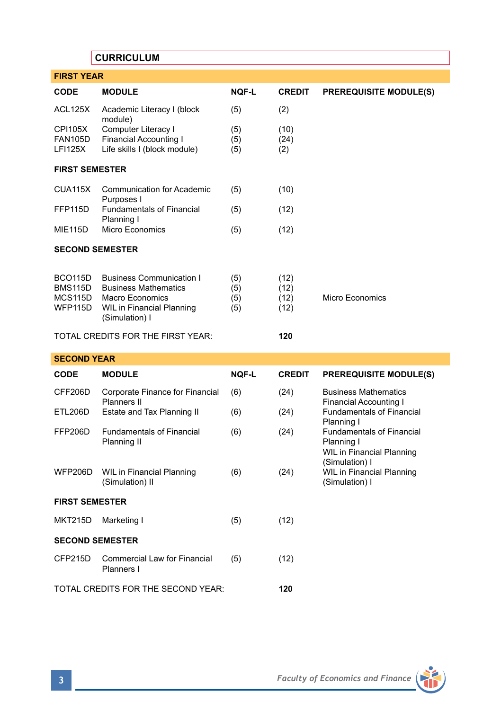# **CURRICULUM**

| <b>FIRST YEAR</b>                                            |                                                                                                                                                |                          |                              |                                                                                               |  |  |  |
|--------------------------------------------------------------|------------------------------------------------------------------------------------------------------------------------------------------------|--------------------------|------------------------------|-----------------------------------------------------------------------------------------------|--|--|--|
| <b>CODE</b>                                                  | <b>MODULE</b>                                                                                                                                  | <b>NOF-L</b>             | <b>CREDIT</b>                | <b>PREREQUISITE MODULE(S)</b>                                                                 |  |  |  |
| ACL125X                                                      | Academic Literacy I (block<br>module)                                                                                                          | (5)                      | (2)                          |                                                                                               |  |  |  |
| <b>CPI105X</b><br><b>FAN105D</b><br>LF1125X                  | Computer Literacy I<br><b>Financial Accounting I</b><br>Life skills I (block module)                                                           | (5)<br>(5)<br>(5)        | (10)<br>(24)<br>(2)          |                                                                                               |  |  |  |
| <b>FIRST SEMESTER</b>                                        |                                                                                                                                                |                          |                              |                                                                                               |  |  |  |
| CUA115X                                                      | <b>Communication for Academic</b><br>Purposes I                                                                                                | (5)                      | (10)                         |                                                                                               |  |  |  |
| FFP115D                                                      | <b>Fundamentals of Financial</b><br>Planning I                                                                                                 | (5)                      | (12)                         |                                                                                               |  |  |  |
| <b>MIE115D</b>                                               | <b>Micro Economics</b>                                                                                                                         | (5)                      | (12)                         |                                                                                               |  |  |  |
| <b>SECOND SEMESTER</b>                                       |                                                                                                                                                |                          |                              |                                                                                               |  |  |  |
| BCO <sub>115</sub> D<br><b>BMS115D</b><br>MCS115D<br>WFP115D | <b>Business Communication I</b><br><b>Business Mathematics</b><br><b>Macro Economics</b><br><b>WIL in Financial Planning</b><br>(Simulation) I | (5)<br>(5)<br>(5)<br>(5) | (12)<br>(12)<br>(12)<br>(12) | <b>Micro Economics</b>                                                                        |  |  |  |
|                                                              | TOTAL CREDITS FOR THE FIRST YEAR:                                                                                                              |                          | 120                          |                                                                                               |  |  |  |
| <b>SECOND YEAR</b>                                           |                                                                                                                                                |                          |                              |                                                                                               |  |  |  |
| <b>CODE</b>                                                  | <b>MODULE</b>                                                                                                                                  | <b>NOF-L</b>             | <b>CREDIT</b>                | <b>PREREQUISITE MODULE(S)</b>                                                                 |  |  |  |
| CFF206D                                                      | Corporate Finance for Financial<br>Planners II                                                                                                 | (6)                      | (24)                         | <b>Business Mathematics</b><br>Financial Accounting I                                         |  |  |  |
| <b>ETL206D</b>                                               | Estate and Tax Planning II                                                                                                                     | (6)                      | (24)                         | <b>Fundamentals of Financial</b><br>Planning I                                                |  |  |  |
| <b>FFP206D</b>                                               | <b>Fundamentals of Financial</b><br>Planning II                                                                                                | (6)                      | (24)                         | <b>Fundamentals of Financial</b><br>Planning I<br>WIL in Financial Planning<br>(Simulation) I |  |  |  |
| <b>WFP206D</b>                                               | WIL in Financial Planning<br>(Simulation) II                                                                                                   | (6)                      | (24)                         | WIL in Financial Planning<br>(Simulation) I                                                   |  |  |  |
| <b>FIRST SEMESTER</b>                                        |                                                                                                                                                |                          |                              |                                                                                               |  |  |  |
| <b>MKT215D</b>                                               | Marketing I                                                                                                                                    | (5)                      | (12)                         |                                                                                               |  |  |  |
| <b>SECOND SEMESTER</b>                                       |                                                                                                                                                |                          |                              |                                                                                               |  |  |  |
| CFP215D                                                      | Commercial Law for Financial<br>Planners I                                                                                                     | (5)                      | (12)                         |                                                                                               |  |  |  |
| 120<br>TOTAL CREDITS FOR THE SECOND YEAR:                    |                                                                                                                                                |                          |                              |                                                                                               |  |  |  |

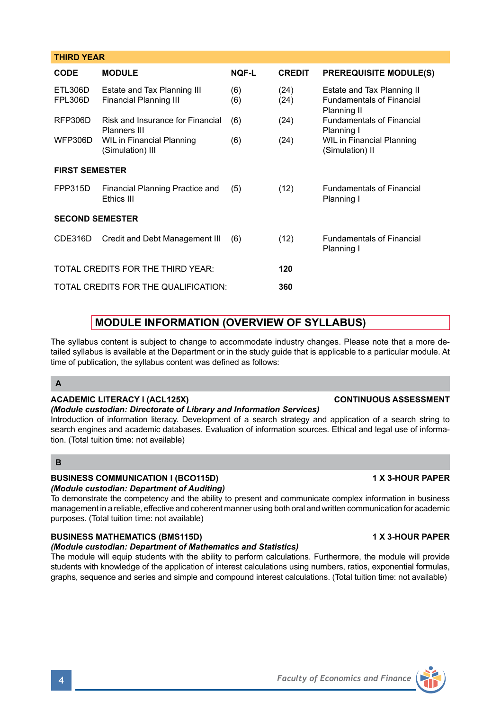| <b>CODE</b>            | <b>MODULE</b>                                         | <b>NOF-L</b> | <b>CREDIT</b> | <b>PREREQUISITE MODULE(S)</b>                                                 |
|------------------------|-------------------------------------------------------|--------------|---------------|-------------------------------------------------------------------------------|
| ETL306D<br>FPL306D     | Estate and Tax Planning III<br>Financial Planning III | (6)<br>(6)   | (24)<br>(24)  | Estate and Tax Planning II<br><b>Fundamentals of Financial</b><br>Planning II |
| RFP306D                | Risk and Insurance for Financial<br>Planners III      | (6)          | (24)          | <b>Fundamentals of Financial</b><br>Planning I                                |
| WFP306D                | <b>WIL in Financial Planning</b><br>(Simulation) III  | (6)          | (24)          | WIL in Financial Planning<br>(Simulation) II                                  |
| <b>FIRST SEMESTER</b>  |                                                       |              |               |                                                                               |
| FPP315D                | Financial Planning Practice and<br>Ethics III         | (5)          | (12)          | <b>Fundamentals of Financial</b><br>Planning I                                |
| <b>SECOND SEMESTER</b> |                                                       |              |               |                                                                               |
| CDE316D                | Credit and Debt Management III                        | (6)          | (12)          | <b>Fundamentals of Financial</b><br>Planning I                                |
|                        | TOTAL CREDITS FOR THE THIRD YEAR:                     |              | 120           |                                                                               |
|                        | TOTAL CREDITS FOR THE QUALIFICATION.                  |              | 360           |                                                                               |

# **MODULE INFORMATION (OVERVIEW OF SYLLABUS)**

The syllabus content is subject to change to accommodate industry changes. Please note that a more detailed syllabus is available at the Department or in the study guide that is applicable to a particular module. At time of publication, the syllabus content was defined as follows:

## **A**

**THIRD YEAR** 

## **ACADEMIC LITERACY I (ACL125X) CONTINUOUS ASSESSMENT**

## *(Module custodian: Directorate of Library and Information Services)*

Introduction of information literacy. Development of a search strategy and application of a search string to search engines and academic databases. Evaluation of information sources. Ethical and legal use of information. (Total tuition time: not available)

## **B**

## **BUSINESS COMMUNICATION I (BCO115D) 1 X 3-HOUR PAPER**

## *(Module custodian: Department of Auditing)*

To demonstrate the competency and the ability to present and communicate complex information in business management in a reliable, effective and coherent manner using both oral and written communication for academic purposes. (Total tuition time: not available)

## **BUSINESS MATHEMATICS (BMS115D) 1 X 3-HOUR PAPER**

## *(Module custodian: Department of Mathematics and Statistics)*

The module will equip students with the ability to perform calculations. Furthermore, the module will provide students with knowledge of the application of interest calculations using numbers, ratios, exponential formulas, graphs, sequence and series and simple and compound interest calculations. (Total tuition time: not available)

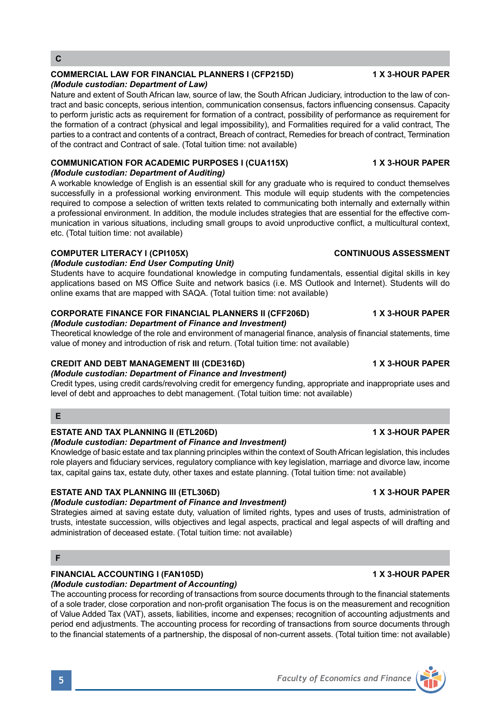# **C**

## **COMMERCIAL LAW FOR FINANCIAL PLANNERS I (CFP215D) 1 X 3-HOUR PAPER**

*(Module custodian: Department of Law)*

Nature and extent of South African law, source of law, the South African Judiciary, introduction to the law of contract and basic concepts, serious intention, communication consensus, factors influencing consensus. Capacity to perform juristic acts as requirement for formation of a contract, possibility of performance as requirement for the formation of a contract (physical and legal impossibility), and Formalities required for a valid contract, The parties to a contract and contents of a contract, Breach of contract, Remedies for breach of contract, Termination of the contract and Contract of sale. (Total tuition time: not available)

### **COMMUNICATION FOR ACADEMIC PURPOSES I (CUA115X) 1 X 3-HOUR PAPER** *(Module custodian: Department of Auditing)*

A workable knowledge of English is an essential skill for any graduate who is required to conduct themselves successfully in a professional working environment. This module will equip students with the competencies required to compose a selection of written texts related to communicating both internally and externally within a professional environment. In addition, the module includes strategies that are essential for the effective communication in various situations, including small groups to avoid unproductive conflict, a multicultural context, etc. (Total tuition time: not available)

## **COMPUTER LITERACY I (CPI105X) CONTINUOUS ASSESSMENT**

*(Module custodian: End User Computing Unit)* 

Students have to acquire foundational knowledge in computing fundamentals, essential digital skills in key applications based on MS Office Suite and network basics (i.e. MS Outlook and Internet). Students will do online exams that are mapped with SAQA. (Total tuition time: not available)

## **CORPORATE FINANCE FOR FINANCIAL PLANNERS II (CFF206D) 4 X 3-HOUR PAPER**

## *(Module custodian: Department of Finance and Investment)*

Theoretical knowledge of the role and environment of managerial finance, analysis of financial statements, time value of money and introduction of risk and return. (Total tuition time: not available)

## **CREDIT AND DEBT MANAGEMENT III (CDE316D) 1 X 3-HOUR PAPER**

*(Module custodian: Department of Finance and Investment)*

Credit types, using credit cards/revolving credit for emergency funding, appropriate and inappropriate uses and level of debt and approaches to debt management. (Total tuition time: not available)

## **E**

## **ESTATE AND TAX PLANNING II (ETL206D) 1 X 3-HOUR PAPER**

## *(Module custodian: Department of Finance and Investment)*

Knowledge of basic estate and tax planning principles within the context of South African legislation, this includes role players and fiduciary services, regulatory compliance with key legislation, marriage and divorce law, income tax, capital gains tax, estate duty, other taxes and estate planning. (Total tuition time: not available)

## **ESTATE AND TAX PLANNING III (ETL306D) 1 X 3-HOUR PAPER**

## *(Module custodian: Department of Finance and Investment)*

Strategies aimed at saving estate duty, valuation of limited rights, types and uses of trusts, administration of trusts, intestate succession, wills objectives and legal aspects, practical and legal aspects of will drafting and administration of deceased estate. (Total tuition time: not available)

## **F**

## **FINANCIAL ACCOUNTING I (FAN105D) 1 X 3-HOUR PAPER**

## *(Module custodian: Department of Accounting)*

The accounting process for recording of transactions from source documents through to the financial statements of a sole trader, close corporation and non-profit organisation The focus is on the measurement and recognition of Value Added Tax (VAT), assets, liabilities, income and expenses; recognition of accounting adjustments and period end adjustments. The accounting process for recording of transactions from source documents through to the financial statements of a partnership, the disposal of non-current assets. (Total tuition time: not available)

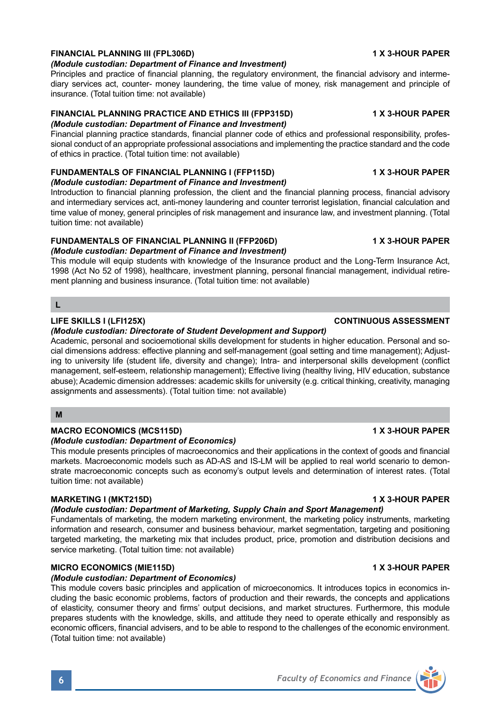## **FINANCIAL PLANNING III (FPL306D) 1 X 3-HOUR PAPER**

### *(Module custodian: Department of Finance and Investment)*

Principles and practice of financial planning, the regulatory environment, the financial advisory and intermediary services act, counter- money laundering, the time value of money, risk management and principle of insurance. (Total tuition time: not available)

### **FINANCIAL PLANNING PRACTICE AND ETHICS III (FPP315D) 1 X 3-HOUR PAPER** *(Module custodian: Department of Finance and Investment)*

Financial planning practice standards, financial planner code of ethics and professional responsibility, professional conduct of an appropriate professional associations and implementing the practice standard and the code of ethics in practice. (Total tuition time: not available)

## **FUNDAMENTALS OF FINANCIAL PLANNING I (FFP115D) 1 X 3-HOUR PAPER**

### *(Module custodian: Department of Finance and Investment)*

Introduction to financial planning profession, the client and the financial planning process, financial advisory and intermediary services act, anti-money laundering and counter terrorist legislation, financial calculation and time value of money, general principles of risk management and insurance law, and investment planning. (Total tuition time: not available)

## **FUNDAMENTALS OF FINANCIAL PLANNING II (FFP206D) 1 X 3-HOUR PAPER**

*(Module custodian: Department of Finance and Investment)*

This module will equip students with knowledge of the Insurance product and the Long-Term Insurance Act, 1998 (Act No 52 of 1998), healthcare, investment planning, personal financial management, individual retirement planning and business insurance. (Total tuition time: not available)

## **L**

## *(Module custodian: Directorate of Student Development and Support)*

Academic, personal and socioemotional skills development for students in higher education. Personal and social dimensions address: effective planning and self-management (goal setting and time management); Adjusting to university life (student life, diversity and change); Intra- and interpersonal skills development (conflict management, self-esteem, relationship management); Effective living (healthy living, HIV education, substance abuse); Academic dimension addresses: academic skills for university (e.g. critical thinking, creativity, managing assignments and assessments). (Total tuition time: not available)

## **M**

## **MACRO ECONOMICS (MCS115D) 1 X 3-HOUR PAPER**

## *(Module custodian: Department of Economics)*

This module presents principles of macroeconomics and their applications in the context of goods and financial markets. Macroeconomic models such as AD-AS and IS-LM will be applied to real world scenario to demonstrate macroeconomic concepts such as economy's output levels and determination of interest rates. (Total tuition time: not available)

## **MARKETING I (MKT215D) 1 X 3-HOUR PAPER**

## *(Module custodian: Department of Marketing, Supply Chain and Sport Management)*

Fundamentals of marketing, the modern marketing environment, the marketing policy instruments, marketing information and research, consumer and business behaviour, market segmentation, targeting and positioning targeted marketing, the marketing mix that includes product, price, promotion and distribution decisions and service marketing. (Total tuition time: not available)

## **MICRO ECONOMICS (MIE115D) 1 X 3-HOUR PAPER**

## *(Module custodian: Department of Economics)*

This module covers basic principles and application of microeconomics. It introduces topics in economics including the basic economic problems, factors of production and their rewards, the concepts and applications of elasticity, consumer theory and firms' output decisions, and market structures. Furthermore, this module prepares students with the knowledge, skills, and attitude they need to operate ethically and responsibly as economic officers, financial advisers, and to be able to respond to the challenges of the economic environment. (Total tuition time: not available)

## **LIFE SKILLS I (LFI125X) CONTINUOUS ASSESSMENT**